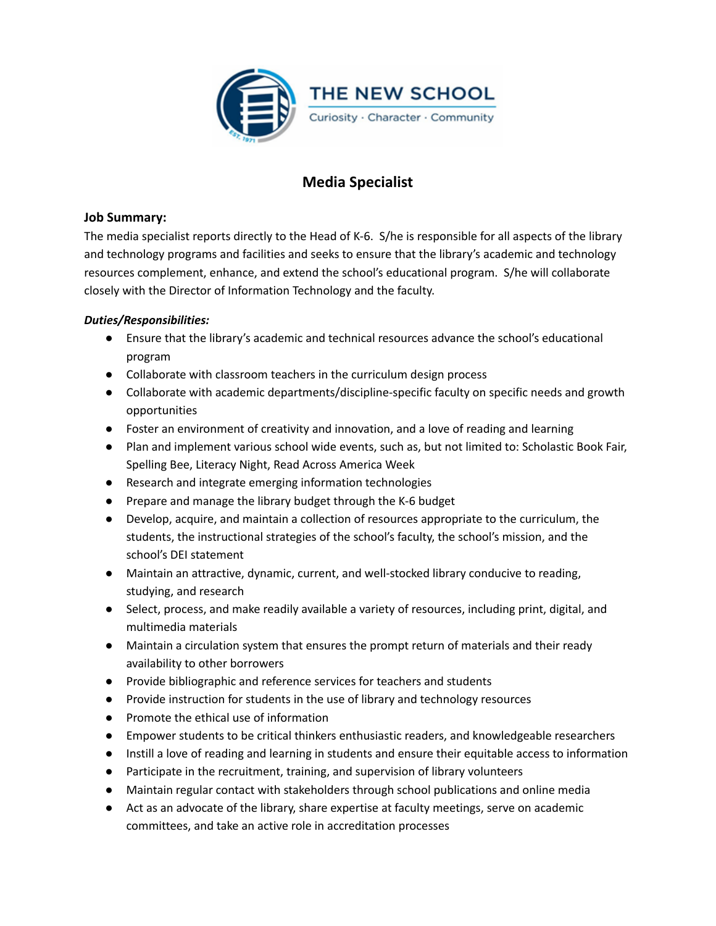

# **Media Specialist**

## **Job Summary:**

The media specialist reports directly to the Head of K-6. S/he is responsible for all aspects of the library and technology programs and facilities and seeks to ensure that the library's academic and technology resources complement, enhance, and extend the school's educational program. S/he will collaborate closely with the Director of Information Technology and the faculty.

## *Duties/Responsibilities:*

- Ensure that the library's academic and technical resources advance the school's educational program
- Collaborate with classroom teachers in the curriculum design process
- Collaborate with academic departments/discipline-specific faculty on specific needs and growth opportunities
- Foster an environment of creativity and innovation, and a love of reading and learning
- Plan and implement various school wide events, such as, but not limited to: Scholastic Book Fair, Spelling Bee, Literacy Night, Read Across America Week
- Research and integrate emerging information technologies
- Prepare and manage the library budget through the K-6 budget
- Develop, acquire, and maintain a collection of resources appropriate to the curriculum, the students, the instructional strategies of the school's faculty, the school's mission, and the school's DEI statement
- Maintain an attractive, dynamic, current, and well-stocked library conducive to reading, studying, and research
- Select, process, and make readily available a variety of resources, including print, digital, and multimedia materials
- Maintain a circulation system that ensures the prompt return of materials and their ready availability to other borrowers
- Provide bibliographic and reference services for teachers and students
- Provide instruction for students in the use of library and technology resources
- Promote the ethical use of information
- Empower students to be critical thinkers enthusiastic readers, and knowledgeable researchers
- Instill a love of reading and learning in students and ensure their equitable access to information
- Participate in the recruitment, training, and supervision of library volunteers
- Maintain regular contact with stakeholders through school publications and online media
- Act as an advocate of the library, share expertise at faculty meetings, serve on academic committees, and take an active role in accreditation processes